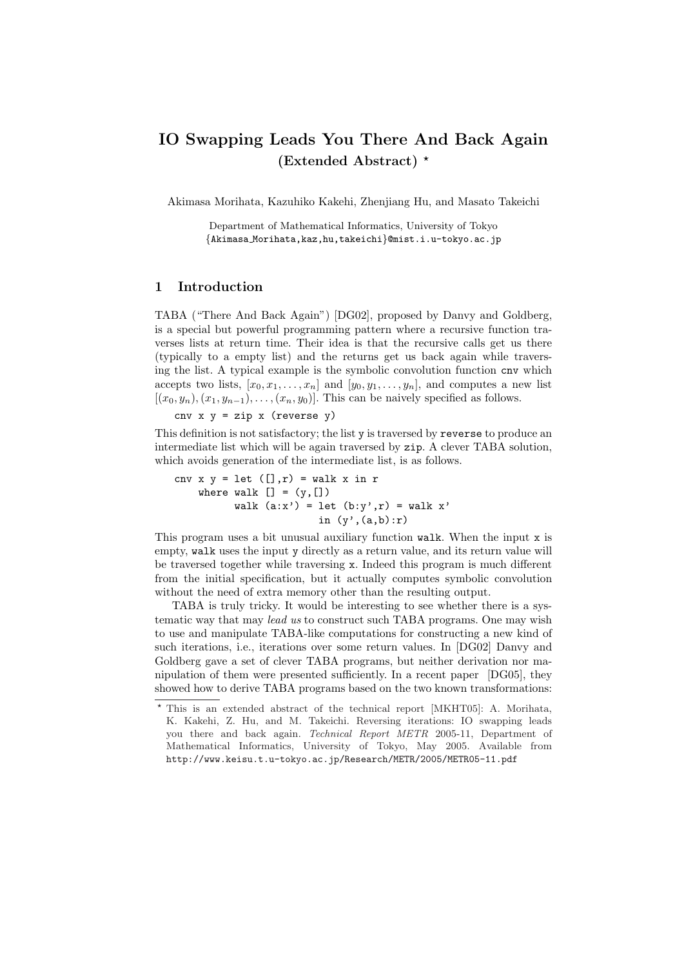# IO Swapping Leads You There And Back Again (Extended Abstract)  $*$

Akimasa Morihata, Kazuhiko Kakehi, Zhenjiang Hu, and Masato Takeichi

Department of Mathematical Informatics, University of Tokyo {Akimasa Morihata,kaz,hu,takeichi}@mist.i.u-tokyo.ac.jp

## 1 Introduction

TABA ("There And Back Again") [DG02], proposed by Danvy and Goldberg, is a special but powerful programming pattern where a recursive function traverses lists at return time. Their idea is that the recursive calls get us there (typically to a empty list) and the returns get us back again while traversing the list. A typical example is the symbolic convolution function cnv which accepts two lists,  $[x_0, x_1, \ldots, x_n]$  and  $[y_0, y_1, \ldots, y_n]$ , and computes a new list  $[(x_0, y_n), (x_1, y_{n-1}), \ldots, (x_n, y_0)]$ . This can be naively specified as follows.

cnv  $x$   $y$  =  $zip$   $x$  (reverse  $y$ )

This definition is not satisfactory; the list y is traversed by reverse to produce an intermediate list which will be again traversed by zip. A clever TABA solution, which avoids generation of the intermediate list, is as follows.

```
cnv x y = let ([], r) = walk x in r
   where walk [] = (y, [])walk (a:x') = let (b:y',r) = walk x'in (y', (a,b):r)
```
This program uses a bit unusual auxiliary function walk. When the input x is empty, walk uses the input y directly as a return value, and its return value will be traversed together while traversing x. Indeed this program is much different from the initial specification, but it actually computes symbolic convolution without the need of extra memory other than the resulting output.

TABA is truly tricky. It would be interesting to see whether there is a systematic way that may lead us to construct such TABA programs. One may wish to use and manipulate TABA-like computations for constructing a new kind of such iterations, i.e., iterations over some return values. In [DG02] Danvy and Goldberg gave a set of clever TABA programs, but neither derivation nor manipulation of them were presented sufficiently. In a recent paper [DG05], they showed how to derive TABA programs based on the two known transformations:

<sup>?</sup> This is an extended abstract of the technical report [MKHT05]: A. Morihata, K. Kakehi, Z. Hu, and M. Takeichi. Reversing iterations: IO swapping leads you there and back again. Technical Report METR 2005-11, Department of Mathematical Informatics, University of Tokyo, May 2005. Available from http://www.keisu.t.u-tokyo.ac.jp/Research/METR/2005/METR05-11.pdf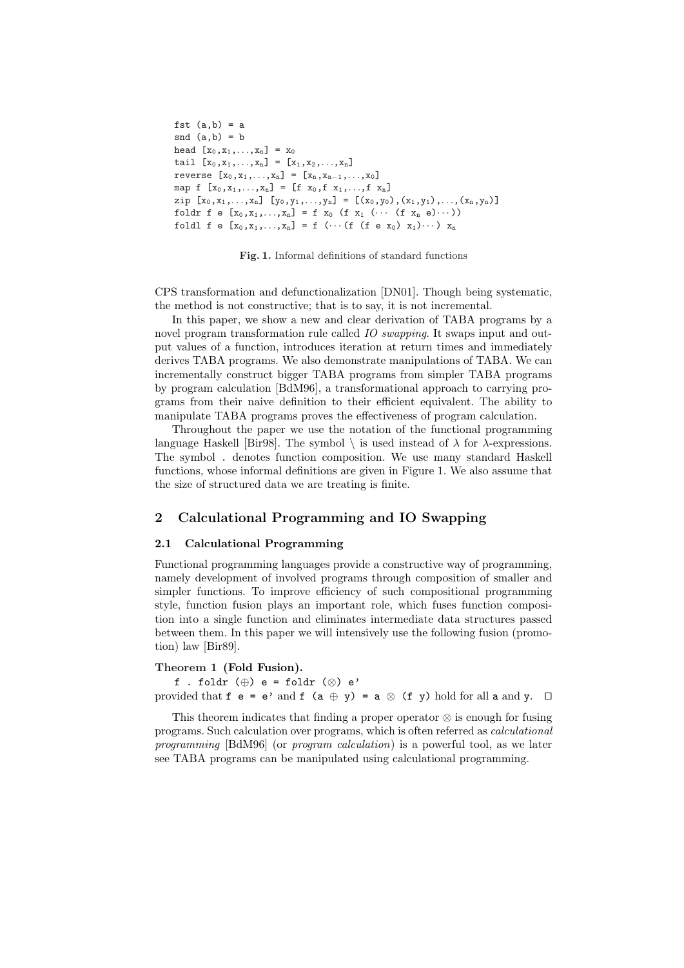```
fst (a,b) = asnd (a,b) = bhead [x_0, x_1, \ldots, x_n] = x_0tail [x_0, x_1, \ldots, x_n] = [x_1, x_2, \ldots, x_n]reverse [x_0, x_1, \ldots, x_n] = [x_n, x_{n-1}, \ldots, x_0]map f [x_0, x_1,..., x_n] = [f x_0, f x_1,..., f x_n]zip [x_0, x_1, \ldots, x_n] [y_0, y_1, \ldots, y_n] = [(x_0, y_0), (x_1, y_1), \ldots, (x_n, y_n)]foldr f e [x_0, x_1, ..., x_n] = f x_0 (f x_1 (\cdots (f x_n e)\cdots))
foldl f e [x_0, x_1,...,x_n] = f (... (f (f e x_0) x_1)...) x_n
```
Fig. 1. Informal definitions of standard functions

CPS transformation and defunctionalization [DN01]. Though being systematic, the method is not constructive; that is to say, it is not incremental.

In this paper, we show a new and clear derivation of TABA programs by a novel program transformation rule called IO swapping. It swaps input and output values of a function, introduces iteration at return times and immediately derives TABA programs. We also demonstrate manipulations of TABA. We can incrementally construct bigger TABA programs from simpler TABA programs by program calculation [BdM96], a transformational approach to carrying programs from their naive definition to their efficient equivalent. The ability to manipulate TABA programs proves the effectiveness of program calculation.

Throughout the paper we use the notation of the functional programming language Haskell [Bir98]. The symbol  $\setminus$  is used instead of  $\lambda$  for  $\lambda$ -expressions. The symbol . denotes function composition. We use many standard Haskell functions, whose informal definitions are given in Figure 1. We also assume that the size of structured data we are treating is finite.

# 2 Calculational Programming and IO Swapping

### 2.1 Calculational Programming

Functional programming languages provide a constructive way of programming, namely development of involved programs through composition of smaller and simpler functions. To improve efficiency of such compositional programming style, function fusion plays an important role, which fuses function composition into a single function and eliminates intermediate data structures passed between them. In this paper we will intensively use the following fusion (promotion) law [Bir89].

#### Theorem 1 (Fold Fusion).

f . foldr  $(\oplus)$  e = foldr  $(\otimes)$  e' provided that  $f \ e = e'$  and  $f \ (a \oplus y) = a \otimes (f \ y)$  hold for all a and y.  $\Box$ 

This theorem indicates that finding a proper operator ⊗ is enough for fusing programs. Such calculation over programs, which is often referred as calculational programming [BdM96] (or program calculation) is a powerful tool, as we later see TABA programs can be manipulated using calculational programming.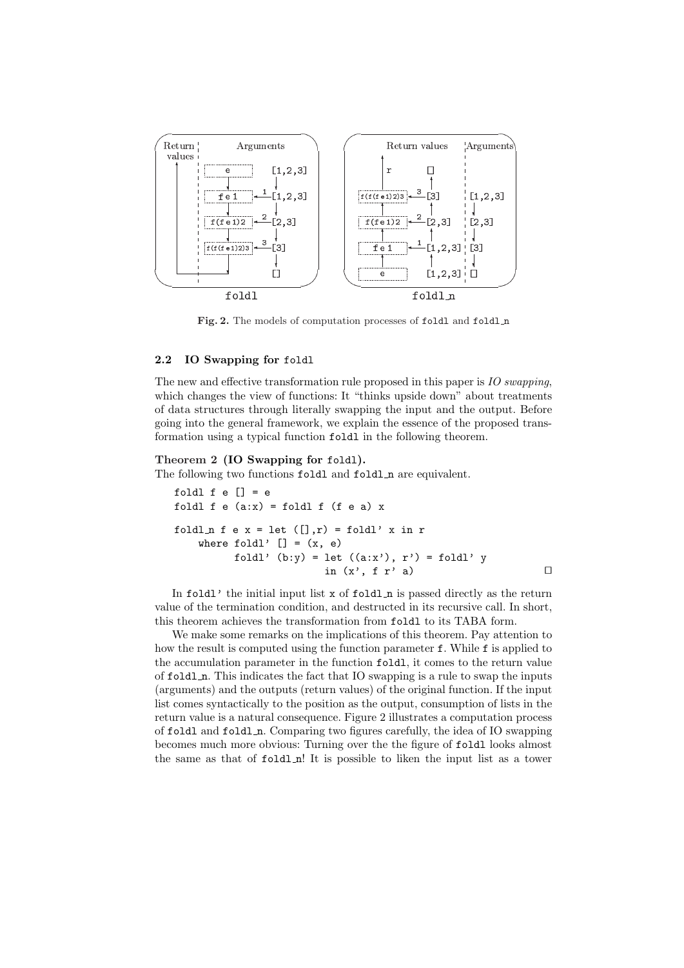

Fig. 2. The models of computation processes of foldl and foldl n

### 2.2 IO Swapping for foldl

The new and effective transformation rule proposed in this paper is IO swapping, which changes the view of functions: It "thinks upside down" about treatments of data structures through literally swapping the input and the output. Before going into the general framework, we explain the essence of the proposed transformation using a typical function foldl in the following theorem.

#### Theorem 2 (IO Swapping for foldl).

The following two functions foldl and foldl n are equivalent.

```
foldl f \in [] = efoldl f e (a:x) = foldl f (f e a) xfoldln f e x = let ([] , r) = foldl' x in r
   where foldl' [] = (x, e)foldl' (b:y) = let ((a:x'), r') = fold' yin (x', f r' a)
```
In foldl' the initial input list  $x$  of foldl $\ln$  is passed directly as the return value of the termination condition, and destructed in its recursive call. In short, this theorem achieves the transformation from foldl to its TABA form.

We make some remarks on the implications of this theorem. Pay attention to how the result is computed using the function parameter f. While f is applied to the accumulation parameter in the function foldl, it comes to the return value of foldl n. This indicates the fact that IO swapping is a rule to swap the inputs (arguments) and the outputs (return values) of the original function. If the input list comes syntactically to the position as the output, consumption of lists in the return value is a natural consequence. Figure 2 illustrates a computation process of foldl and foldl n. Comparing two figures carefully, the idea of IO swapping becomes much more obvious: Turning over the the figure of foldl looks almost the same as that of foldl\_n! It is possible to liken the input list as a tower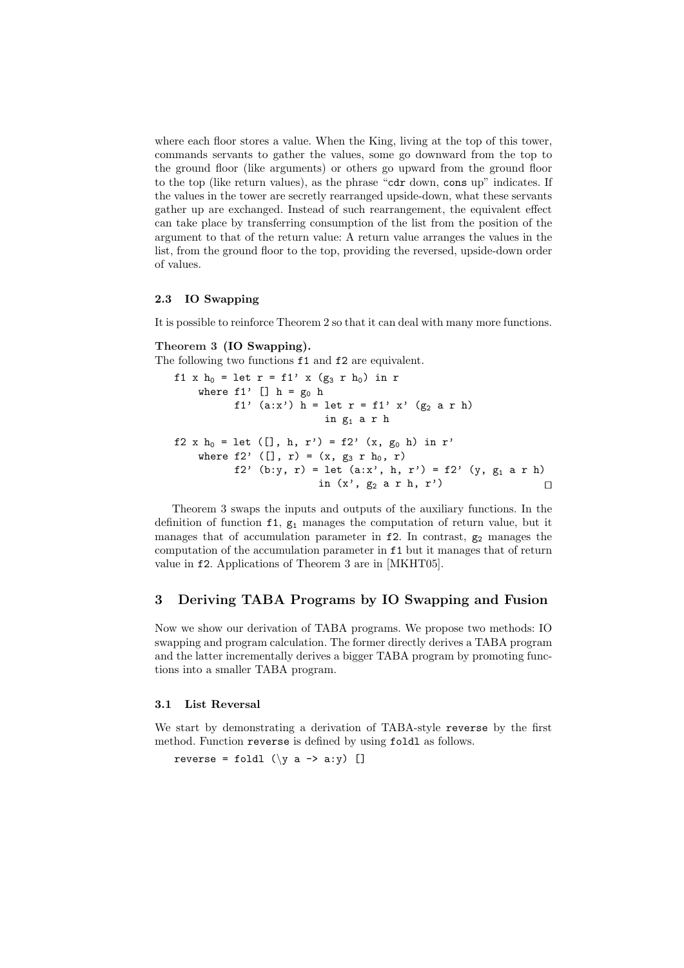where each floor stores a value. When the King, living at the top of this tower, commands servants to gather the values, some go downward from the top to the ground floor (like arguments) or others go upward from the ground floor to the top (like return values), as the phrase "cdr down, cons up" indicates. If the values in the tower are secretly rearranged upside-down, what these servants gather up are exchanged. Instead of such rearrangement, the equivalent effect can take place by transferring consumption of the list from the position of the argument to that of the return value: A return value arranges the values in the list, from the ground floor to the top, providing the reversed, upside-down order of values.

### 2.3 IO Swapping

It is possible to reinforce Theorem 2 so that it can deal with many more functions.

# Theorem 3 (IO Swapping).

The following two functions f1 and f2 are equivalent.

```
f1 x h_0 = let r = f1' x (g_3 r h_0) in r
    where f1' [] h = g_0 hf1' (a:x') h = let r = f1' x' (g<sub>2</sub> a r h)
                           in g_1 a r h
f2 x h<sub>0</sub> = let ([], h, r') = f2' (x, g<sub>0</sub> h) in r'
    where f2' ([], r) = (x, g_3 r h_0, r)f2' (b:y, r) = let (ax', h, r') = f2' (y, g_1 a r h)
                          in (x', g_2 \text{ a r h}, r')
```
Theorem 3 swaps the inputs and outputs of the auxiliary functions. In the definition of function  $f1$ ,  $g_1$  manages the computation of return value, but it manages that of accumulation parameter in  $f2$ . In contrast,  $g_2$  manages the computation of the accumulation parameter in f1 but it manages that of return value in f2. Applications of Theorem 3 are in [MKHT05].

## 3 Deriving TABA Programs by IO Swapping and Fusion

Now we show our derivation of TABA programs. We propose two methods: IO swapping and program calculation. The former directly derives a TABA program and the latter incrementally derives a bigger TABA program by promoting functions into a smaller TABA program.

### 3.1 List Reversal

We start by demonstrating a derivation of TABA-style reverse by the first method. Function reverse is defined by using foldl as follows.

reverse = foldl  $(\forall y \land -> a:y)$  []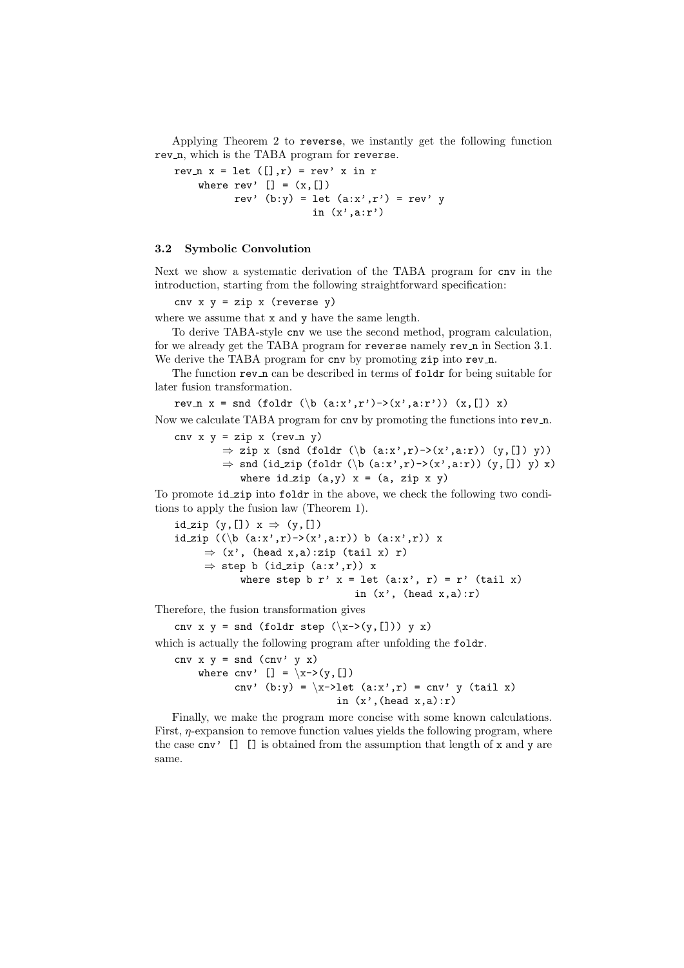Applying Theorem 2 to reverse, we instantly get the following function rev<sub>n</sub>, which is the TABA program for reverse.

```
rev x = 1et ([] , r) = rev' x in r
    where rev' [] = (x, [])rev' (b:y) = let (a:x',r') = rev'in (x', a:r')
```
### 3.2 Symbolic Convolution

Next we show a systematic derivation of the TABA program for cnv in the introduction, starting from the following straightforward specification:

cnv  $x$   $y = zip$   $x$  (reverse  $y$ )

where we assume that x and y have the same length.

To derive TABA-style cnv we use the second method, program calculation, for we already get the TABA program for reverse namely rev<sub>n</sub> in Section 3.1. We derive the TABA program for cnv by promoting zip into rev\_n.

The function rev<sub>n</sub> can be described in terms of foldr for being suitable for later fusion transformation.

rev  $x =$  snd (foldr (\b (a:x',r')->(x',a:r')) (x,[]) x)

Now we calculate TABA program for cnv by promoting the functions into rev n. cnv  $x y = zip x (rev_n y)$ 

> $\Rightarrow$  zip x (snd (foldr (\b (a:x',r)->(x',a:r)) (y,[]) y)) ⇒ snd (id\_zip (foldr (\b (a:x',r)->(x',a:r)) (y,[]) y) x) where  $id_zip(a,y)$   $x = (a, zip x y)$

To promote id zip into foldr in the above, we check the following two conditions to apply the fusion law (Theorem 1).

id zip  $(y, []) x \Rightarrow (y, [])$ id zip  $((\b \ (a:x',r) \rightarrow (x',a:r))$  b  $(a:x',r))$  x  $\Rightarrow$  (x', (head x,a):zip (tail x) r)  $\Rightarrow$  step b (id\_zip (a:x',r)) x where step b r'  $x =$  let  $(ax', r) = r'$  (tail x) in  $(x', \text{ (head } x, a):r)$ 

Therefore, the fusion transformation gives

cnv x y = snd (foldr step  $(\x-y)(y,[]))$  y x)

which is actually the following program after unfolding the folder.

cnv  $x \ y = \text{snd } (\text{cnv'} y x)$ where cnv'  $[] = \xrightarrow{} (y, [])$ cnv' (b:y) =  $\langle x\text{-} \rangle$ let  $(ax', r)$  = cnv' y (tail x) in  $(x', (head x,a):r)$ 

Finally, we make the program more concise with some known calculations. First,  $\eta$ -expansion to remove function values yields the following program, where the case  $\text{cnv'}$  [] [] is obtained from the assumption that length of x and y are same.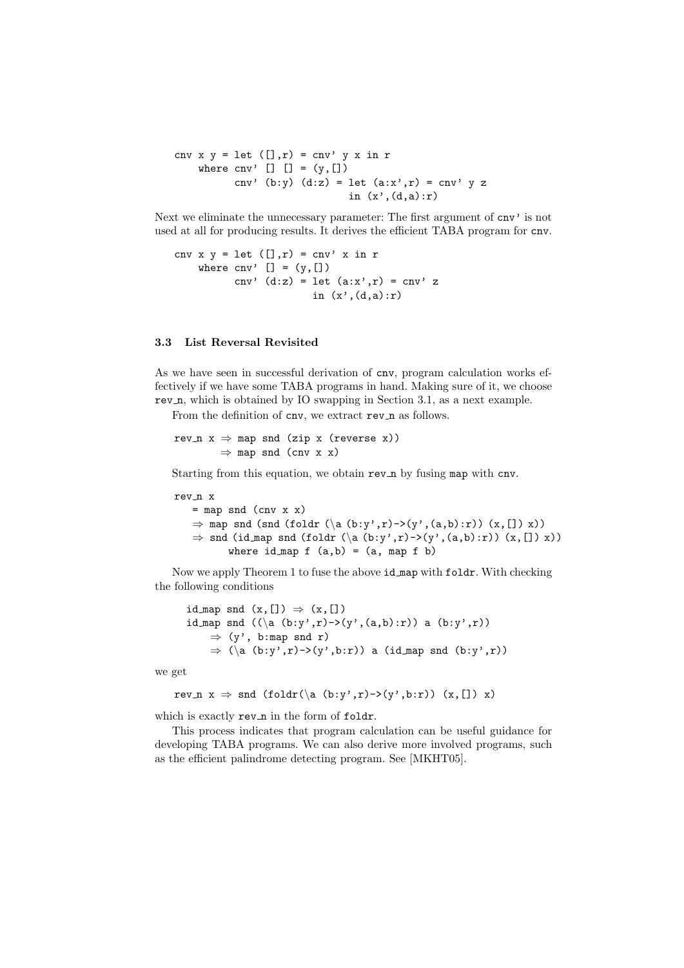cnv x  $y = \text{let } ([], r) = \text{cnv'} y x \text{ in } r$ where  $\text{cnv'}$  []  $[$ ] =  $(y, []$ cnv' (b:y)  $(d:z) = let (a:x',r) = env' y z$ in  $(x', (d,a):r)$ 

Next we eliminate the unnecessary parameter: The first argument of  $cnv'$  is not used at all for producing results. It derives the efficient TABA program for cnv.

```
cnv x y = \text{let } ([], r) = \text{cnv'} x \text{ in } rwhere cnv' [] = (y, [])cnv' (d:z) = let (a:x',r) = env' zin (x', (d,a):r)
```
### 3.3 List Reversal Revisited

As we have seen in successful derivation of cnv, program calculation works effectively if we have some TABA programs in hand. Making sure of it, we choose rev<sub>n</sub>, which is obtained by IO swapping in Section 3.1, as a next example.

From the definition of cnv, we extract rev\_n as follows.

rev  $n \times x \Rightarrow$  map snd (zip x (reverse x))  $\Rightarrow$  map snd (cnv x x)

Starting from this equation, we obtain rev<sub>n</sub> by fusing map with cnv.

rev\_n x  $=$  map snd (cnv x x)  $\Rightarrow$  map snd (snd (foldr (\a(b:y',r)->(y',(a,b):r)) (x,[]) x))  $\Rightarrow$  snd (id map snd (foldr (\a (b:y',r)->(y',(a,b):r)) (x,[]) x)) where id map  $f (a,b) = (a, map f b)$ 

Now we apply Theorem 1 to fuse the above id map with foldr. With checking the following conditions

```
id map snd (x, [] \Rightarrow (x, []id map snd ((a (b:y',r) - (y', (a,b):r)) a (b:y',r))\Rightarrow (y', b:map snd r)
    \Rightarrow (\a (b:y',r)->(y',b:r)) a (id_map snd (b:y',r))
```
we get

$$
rev_n x \Rightarrow end (foldr(\a (b:y',r) - \lambda(y',b:r)) (x, []) x)
$$

which is exactly rev\_n in the form of foldr.

This process indicates that program calculation can be useful guidance for developing TABA programs. We can also derive more involved programs, such as the efficient palindrome detecting program. See [MKHT05].